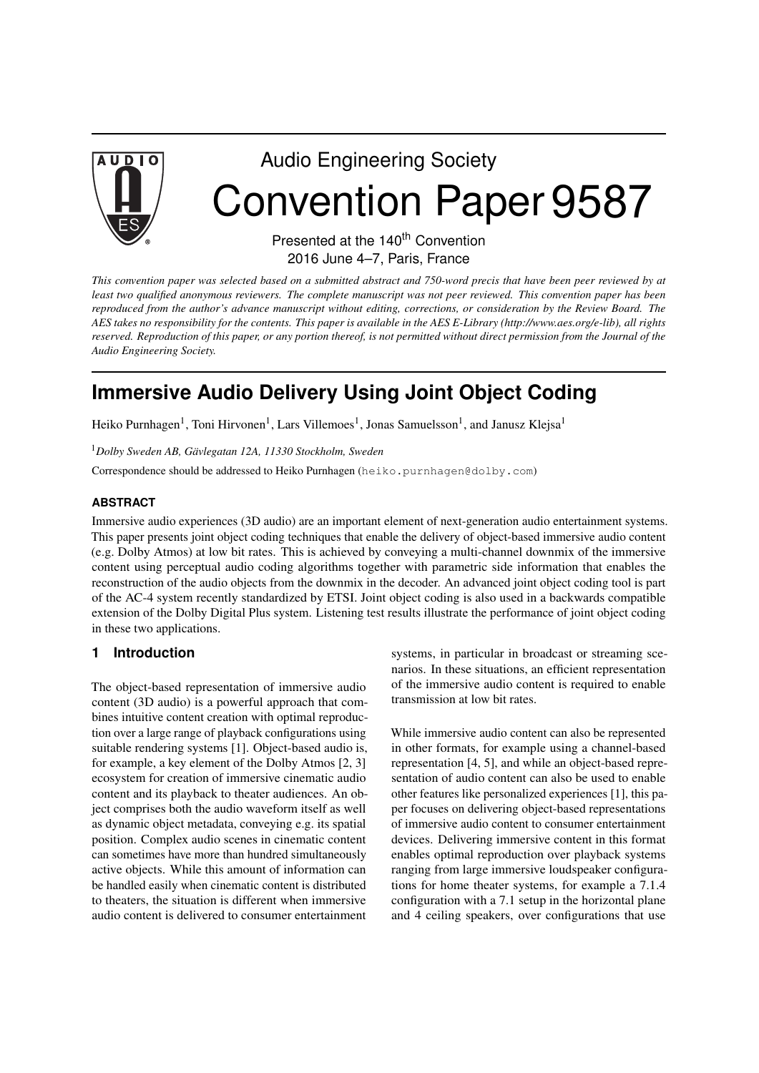

# Audio Engineering Society Convention Paper 9587

Presented at the 140<sup>th</sup> Convention 2016 June 4–7, Paris, France

*This convention paper was selected based on a submitted abstract and 750-word precis that have been peer reviewed by at least two qualified anonymous reviewers. The complete manuscript was not peer reviewed. This convention paper has been reproduced from the author's advance manuscript without editing, corrections, or consideration by the Review Board. The AES takes no responsibility for the contents. This paper is available in the AES E-Library (http://www.aes.org/e-lib), all rights reserved. Reproduction of this paper, or any portion thereof, is not permitted without direct permission from the Journal of the Audio Engineering Society.*

# **Immersive Audio Delivery Using Joint Object Coding**

Heiko Purnhagen<sup>1</sup>, Toni Hirvonen<sup>1</sup>, Lars Villemoes<sup>1</sup>, Jonas Samuelsson<sup>1</sup>, and Janusz Klejsa<sup>1</sup>

<sup>1</sup>*Dolby Sweden AB, Gävlegatan 12A, 11330 Stockholm, Sweden*

Correspondence should be addressed to Heiko Purnhagen (heiko.purnhagen@dolby.com)

#### **ABSTRACT**

Immersive audio experiences (3D audio) are an important element of next-generation audio entertainment systems. This paper presents joint object coding techniques that enable the delivery of object-based immersive audio content (e.g. Dolby Atmos) at low bit rates. This is achieved by conveying a multi-channel downmix of the immersive content using perceptual audio coding algorithms together with parametric side information that enables the reconstruction of the audio objects from the downmix in the decoder. An advanced joint object coding tool is part of the AC-4 system recently standardized by ETSI. Joint object coding is also used in a backwards compatible extension of the Dolby Digital Plus system. Listening test results illustrate the performance of joint object coding in these two applications.

# **1 Introduction**

The object-based representation of immersive audio content (3D audio) is a powerful approach that combines intuitive content creation with optimal reproduction over a large range of playback configurations using suitable rendering systems [1]. Object-based audio is, for example, a key element of the Dolby Atmos [2, 3] ecosystem for creation of immersive cinematic audio content and its playback to theater audiences. An object comprises both the audio waveform itself as well as dynamic object metadata, conveying e.g. its spatial position. Complex audio scenes in cinematic content can sometimes have more than hundred simultaneously active objects. While this amount of information can be handled easily when cinematic content is distributed to theaters, the situation is different when immersive audio content is delivered to consumer entertainment

systems, in particular in broadcast or streaming scenarios. In these situations, an efficient representation of the immersive audio content is required to enable transmission at low bit rates.

While immersive audio content can also be represented in other formats, for example using a channel-based representation [4, 5], and while an object-based representation of audio content can also be used to enable other features like personalized experiences [1], this paper focuses on delivering object-based representations of immersive audio content to consumer entertainment devices. Delivering immersive content in this format enables optimal reproduction over playback systems ranging from large immersive loudspeaker configurations for home theater systems, for example a 7.1.4 configuration with a 7.1 setup in the horizontal plane and 4 ceiling speakers, over configurations that use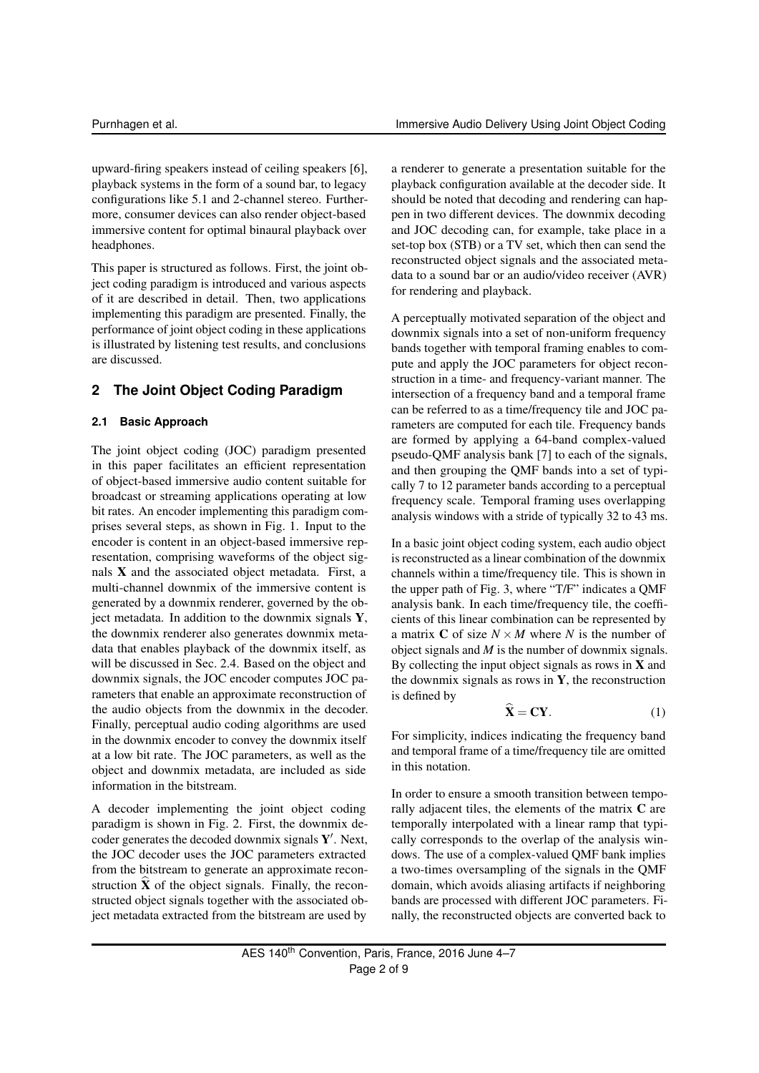upward-firing speakers instead of ceiling speakers [6], playback systems in the form of a sound bar, to legacy configurations like 5.1 and 2-channel stereo. Furthermore, consumer devices can also render object-based immersive content for optimal binaural playback over headphones.

This paper is structured as follows. First, the joint object coding paradigm is introduced and various aspects of it are described in detail. Then, two applications implementing this paradigm are presented. Finally, the performance of joint object coding in these applications is illustrated by listening test results, and conclusions are discussed.

### **2 The Joint Object Coding Paradigm**

#### **2.1 Basic Approach**

The joint object coding (JOC) paradigm presented in this paper facilitates an efficient representation of object-based immersive audio content suitable for broadcast or streaming applications operating at low bit rates. An encoder implementing this paradigm comprises several steps, as shown in Fig. 1. Input to the encoder is content in an object-based immersive representation, comprising waveforms of the object signals  $X$  and the associated object metadata. First, a multi-channel downmix of the immersive content is generated by a downmix renderer, governed by the object metadata. In addition to the downmix signals Y, the downmix renderer also generates downmix metadata that enables playback of the downmix itself, as will be discussed in Sec. 2.4. Based on the object and downmix signals, the JOC encoder computes JOC parameters that enable an approximate reconstruction of the audio objects from the downmix in the decoder. Finally, perceptual audio coding algorithms are used in the downmix encoder to convey the downmix itself at a low bit rate. The JOC parameters, as well as the object and downmix metadata, are included as side information in the bitstream.

A decoder implementing the joint object coding paradigm is shown in Fig. 2. First, the downmix decoder generates the decoded downmix signals  $Y'$ . Next, the JOC decoder uses the JOC parameters extracted from the bitstream to generate an approximate reconstruction  $\ddot{\textbf{X}}$  of the object signals. Finally, the reconstructed object signals together with the associated object metadata extracted from the bitstream are used by

a renderer to generate a presentation suitable for the playback configuration available at the decoder side. It should be noted that decoding and rendering can happen in two different devices. The downmix decoding and JOC decoding can, for example, take place in a set-top box (STB) or a TV set, which then can send the reconstructed object signals and the associated metadata to a sound bar or an audio/video receiver (AVR) for rendering and playback.

A perceptually motivated separation of the object and downmix signals into a set of non-uniform frequency bands together with temporal framing enables to compute and apply the JOC parameters for object reconstruction in a time- and frequency-variant manner. The intersection of a frequency band and a temporal frame can be referred to as a time/frequency tile and JOC parameters are computed for each tile. Frequency bands are formed by applying a 64-band complex-valued pseudo-QMF analysis bank [7] to each of the signals, and then grouping the QMF bands into a set of typically 7 to 12 parameter bands according to a perceptual frequency scale. Temporal framing uses overlapping analysis windows with a stride of typically 32 to 43 ms.

In a basic joint object coding system, each audio object is reconstructed as a linear combination of the downmix channels within a time/frequency tile. This is shown in the upper path of Fig. 3, where "T/F" indicates a QMF analysis bank. In each time/frequency tile, the coefficients of this linear combination can be represented by a matrix **C** of size  $N \times M$  where *N* is the number of object signals and *M* is the number of downmix signals. By collecting the input object signals as rows in  $X$  and the downmix signals as rows in  $Y$ , the reconstruction is defined by

$$
\widehat{\mathbf{X}} = \mathbf{C}\mathbf{Y}.\tag{1}
$$

For simplicity, indices indicating the frequency band and temporal frame of a time/frequency tile are omitted in this notation.

In order to ensure a smooth transition between temporally adjacent tiles, the elements of the matrix C are temporally interpolated with a linear ramp that typically corresponds to the overlap of the analysis windows. The use of a complex-valued QMF bank implies a two-times oversampling of the signals in the QMF domain, which avoids aliasing artifacts if neighboring bands are processed with different JOC parameters. Finally, the reconstructed objects are converted back to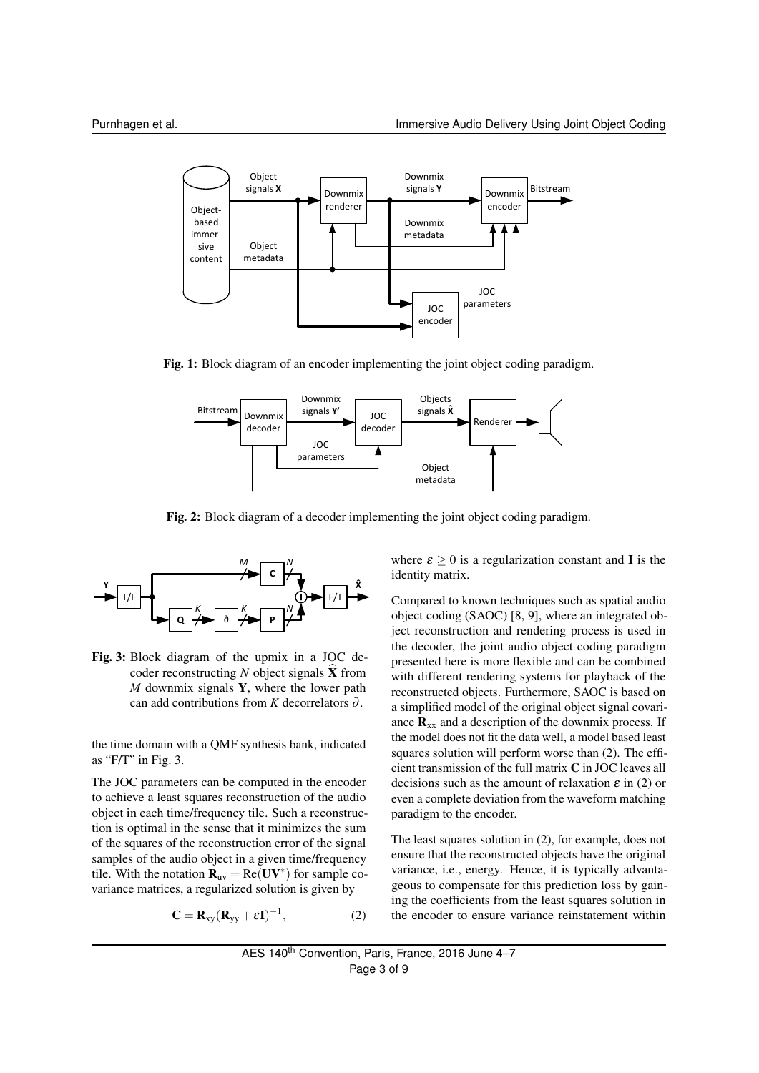

Fig. 1: Block diagram of an encoder implementing the joint object coding paradigm.



Fig. 2: Block diagram of a decoder implementing the joint object coding paradigm.



Fig. 3: Block diagram of the upmix in a JOC decoder reconstructing  $N$  object signals  $\hat{\mathbf{X}}$  from *M* downmix signals Y, where the lower path can add contributions from *K* decorrelators ∂ .

the time domain with a QMF synthesis bank, indicated as "F/T" in Fig. 3.

The JOC parameters can be computed in the encoder to achieve a least squares reconstruction of the audio object in each time/frequency tile. Such a reconstruction is optimal in the sense that it minimizes the sum of the squares of the reconstruction error of the signal samples of the audio object in a given time/frequency tile. With the notation  $\mathbf{R}_{uv} = \text{Re}(\mathbf{U}\mathbf{V}^*)$  for sample covariance matrices, a regularized solution is given by

$$
\mathbf{C} = \mathbf{R}_{xy} (\mathbf{R}_{yy} + \varepsilon \mathbf{I})^{-1}, \tag{2}
$$

where  $\varepsilon \geq 0$  is a regularization constant and **I** is the identity matrix.

Compared to known techniques such as spatial audio object coding (SAOC) [8, 9], where an integrated object reconstruction and rendering process is used in the decoder, the joint audio object coding paradigm presented here is more flexible and can be combined with different rendering systems for playback of the reconstructed objects. Furthermore, SAOC is based on a simplified model of the original object signal covariance  $\mathbf{R}_{xx}$  and a description of the downmix process. If the model does not fit the data well, a model based least squares solution will perform worse than (2). The efficient transmission of the full matrix C in JOC leaves all decisions such as the amount of relaxation  $\varepsilon$  in (2) or even a complete deviation from the waveform matching paradigm to the encoder.

The least squares solution in (2), for example, does not ensure that the reconstructed objects have the original variance, i.e., energy. Hence, it is typically advantageous to compensate for this prediction loss by gaining the coefficients from the least squares solution in the encoder to ensure variance reinstatement within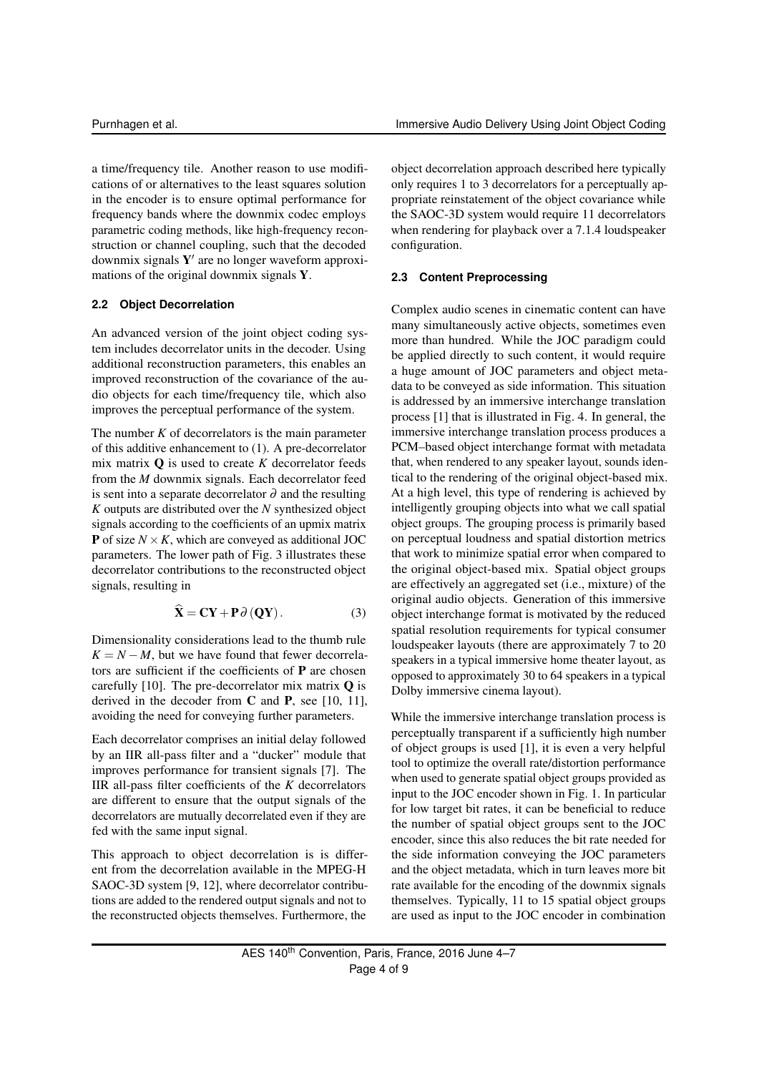a time/frequency tile. Another reason to use modifications of or alternatives to the least squares solution in the encoder is to ensure optimal performance for frequency bands where the downmix codec employs parametric coding methods, like high-frequency reconstruction or channel coupling, such that the decoded downmix signals  $Y'$  are no longer waveform approximations of the original downmix signals Y.

#### **2.2 Object Decorrelation**

An advanced version of the joint object coding system includes decorrelator units in the decoder. Using additional reconstruction parameters, this enables an improved reconstruction of the covariance of the audio objects for each time/frequency tile, which also improves the perceptual performance of the system.

The number  $K$  of decorrelators is the main parameter of this additive enhancement to (1). A pre-decorrelator mix matrix  $\bf{Q}$  is used to create *K* decorrelator feeds from the *M* downmix signals. Each decorrelator feed is sent into a separate decorrelator  $\partial$  and the resulting *K* outputs are distributed over the *N* synthesized object signals according to the coefficients of an upmix matrix **P** of size  $N \times K$ , which are conveyed as additional JOC parameters. The lower path of Fig. 3 illustrates these decorrelator contributions to the reconstructed object signals, resulting in

$$
\hat{\mathbf{X}} = \mathbf{C}\mathbf{Y} + \mathbf{P}\partial(\mathbf{Q}\mathbf{Y}).
$$
 (3)

Dimensionality considerations lead to the thumb rule  $K = N - M$ , but we have found that fewer decorrelators are sufficient if the coefficients of P are chosen carefully  $[10]$ . The pre-decorrelator mix matrix **Q** is derived in the decoder from  $C$  and  $P$ , see [10, 11], avoiding the need for conveying further parameters.

Each decorrelator comprises an initial delay followed by an IIR all-pass filter and a "ducker" module that improves performance for transient signals [7]. The IIR all-pass filter coefficients of the *K* decorrelators are different to ensure that the output signals of the decorrelators are mutually decorrelated even if they are fed with the same input signal.

This approach to object decorrelation is is different from the decorrelation available in the MPEG-H SAOC-3D system [9, 12], where decorrelator contributions are added to the rendered output signals and not to the reconstructed objects themselves. Furthermore, the

object decorrelation approach described here typically only requires 1 to 3 decorrelators for a perceptually appropriate reinstatement of the object covariance while the SAOC-3D system would require 11 decorrelators when rendering for playback over a 7.1.4 loudspeaker configuration.

#### **2.3 Content Preprocessing**

Complex audio scenes in cinematic content can have many simultaneously active objects, sometimes even more than hundred. While the JOC paradigm could be applied directly to such content, it would require a huge amount of JOC parameters and object metadata to be conveyed as side information. This situation is addressed by an immersive interchange translation process [1] that is illustrated in Fig. 4. In general, the immersive interchange translation process produces a PCM–based object interchange format with metadata that, when rendered to any speaker layout, sounds identical to the rendering of the original object-based mix. At a high level, this type of rendering is achieved by intelligently grouping objects into what we call spatial object groups. The grouping process is primarily based on perceptual loudness and spatial distortion metrics that work to minimize spatial error when compared to the original object-based mix. Spatial object groups are effectively an aggregated set (i.e., mixture) of the original audio objects. Generation of this immersive object interchange format is motivated by the reduced spatial resolution requirements for typical consumer loudspeaker layouts (there are approximately 7 to 20 speakers in a typical immersive home theater layout, as opposed to approximately 30 to 64 speakers in a typical Dolby immersive cinema layout).

While the immersive interchange translation process is perceptually transparent if a sufficiently high number of object groups is used [1], it is even a very helpful tool to optimize the overall rate/distortion performance when used to generate spatial object groups provided as input to the JOC encoder shown in Fig. 1. In particular for low target bit rates, it can be beneficial to reduce the number of spatial object groups sent to the JOC encoder, since this also reduces the bit rate needed for the side information conveying the JOC parameters and the object metadata, which in turn leaves more bit rate available for the encoding of the downmix signals themselves. Typically, 11 to 15 spatial object groups are used as input to the JOC encoder in combination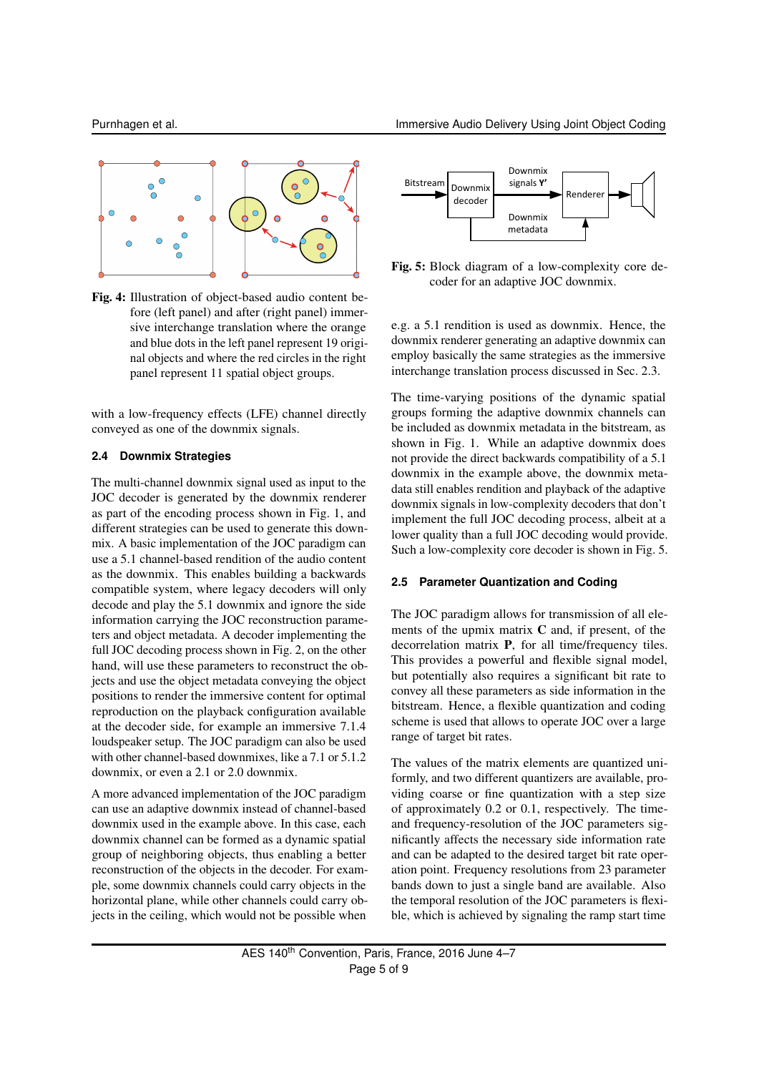

Fig. 4: Illustration of object-based audio content before (left panel) and after (right panel) immersive interchange translation where the orange and blue dots in the left panel represent 19 original objects and where the red circles in the right panel represent 11 spatial object groups.

with a low-frequency effects (LFE) channel directly conveyed as one of the downmix signals.

#### **2.4 Downmix Strategies**

The multi-channel downmix signal used as input to the JOC decoder is generated by the downmix renderer as part of the encoding process shown in Fig. 1, and different strategies can be used to generate this downmix. A basic implementation of the JOC paradigm can use a 5.1 channel-based rendition of the audio content as the downmix. This enables building a backwards compatible system, where legacy decoders will only decode and play the 5.1 downmix and ignore the side information carrying the JOC reconstruction parameters and object metadata. A decoder implementing the full JOC decoding process shown in Fig. 2, on the other hand, will use these parameters to reconstruct the objects and use the object metadata conveying the object positions to render the immersive content for optimal reproduction on the playback configuration available at the decoder side, for example an immersive 7.1.4 loudspeaker setup. The JOC paradigm can also be used with other channel-based downmixes, like a 7.1 or 5.1.2 downmix, or even a 2.1 or 2.0 downmix.

A more advanced implementation of the JOC paradigm can use an adaptive downmix instead of channel-based downmix used in the example above. In this case, each downmix channel can be formed as a dynamic spatial group of neighboring objects, thus enabling a better reconstruction of the objects in the decoder. For example, some downmix channels could carry objects in the horizontal plane, while other channels could carry objects in the ceiling, which would not be possible when



Fig. 5: Block diagram of a low-complexity core decoder for an adaptive JOC downmix.

e.g. a 5.1 rendition is used as downmix. Hence, the downmix renderer generating an adaptive downmix can employ basically the same strategies as the immersive interchange translation process discussed in Sec. 2.3.

The time-varying positions of the dynamic spatial groups forming the adaptive downmix channels can be included as downmix metadata in the bitstream, as shown in Fig. 1. While an adaptive downmix does not provide the direct backwards compatibility of a 5.1 downmix in the example above, the downmix metadata still enables rendition and playback of the adaptive downmix signals in low-complexity decoders that don't implement the full JOC decoding process, albeit at a lower quality than a full JOC decoding would provide. Such a low-complexity core decoder is shown in Fig. 5.

#### **2.5 Parameter Quantization and Coding**

The JOC paradigm allows for transmission of all elements of the upmix matrix  $C$  and, if present, of the decorrelation matrix P, for all time/frequency tiles. This provides a powerful and flexible signal model, but potentially also requires a significant bit rate to convey all these parameters as side information in the bitstream. Hence, a flexible quantization and coding scheme is used that allows to operate JOC over a large range of target bit rates.

The values of the matrix elements are quantized uniformly, and two different quantizers are available, providing coarse or fine quantization with a step size of approximately 0.2 or 0.1, respectively. The timeand frequency-resolution of the JOC parameters significantly affects the necessary side information rate and can be adapted to the desired target bit rate operation point. Frequency resolutions from 23 parameter bands down to just a single band are available. Also the temporal resolution of the JOC parameters is flexible, which is achieved by signaling the ramp start time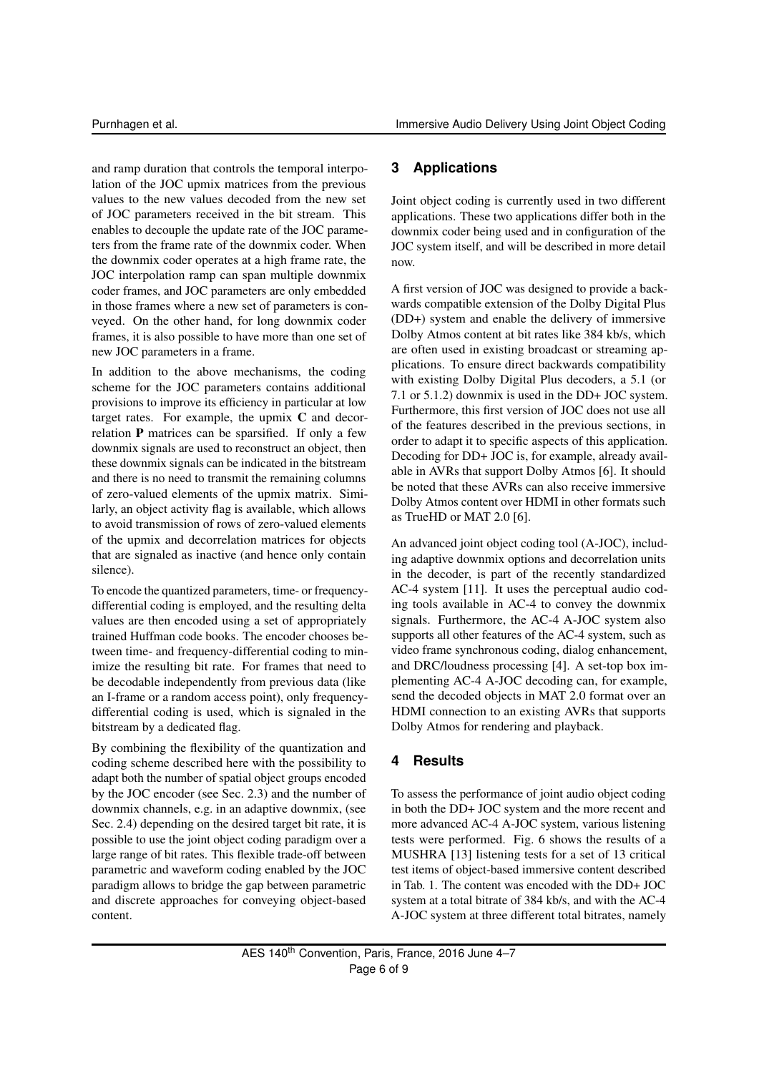and ramp duration that controls the temporal interpolation of the JOC upmix matrices from the previous values to the new values decoded from the new set of JOC parameters received in the bit stream. This enables to decouple the update rate of the JOC parameters from the frame rate of the downmix coder. When the downmix coder operates at a high frame rate, the JOC interpolation ramp can span multiple downmix coder frames, and JOC parameters are only embedded in those frames where a new set of parameters is conveyed. On the other hand, for long downmix coder frames, it is also possible to have more than one set of new JOC parameters in a frame.

In addition to the above mechanisms, the coding scheme for the JOC parameters contains additional provisions to improve its efficiency in particular at low target rates. For example, the upmix C and decorrelation P matrices can be sparsified. If only a few downmix signals are used to reconstruct an object, then these downmix signals can be indicated in the bitstream and there is no need to transmit the remaining columns of zero-valued elements of the upmix matrix. Similarly, an object activity flag is available, which allows to avoid transmission of rows of zero-valued elements of the upmix and decorrelation matrices for objects that are signaled as inactive (and hence only contain silence).

To encode the quantized parameters, time- or frequencydifferential coding is employed, and the resulting delta values are then encoded using a set of appropriately trained Huffman code books. The encoder chooses between time- and frequency-differential coding to minimize the resulting bit rate. For frames that need to be decodable independently from previous data (like an I-frame or a random access point), only frequencydifferential coding is used, which is signaled in the bitstream by a dedicated flag.

By combining the flexibility of the quantization and coding scheme described here with the possibility to adapt both the number of spatial object groups encoded by the JOC encoder (see Sec. 2.3) and the number of downmix channels, e.g. in an adaptive downmix, (see Sec. 2.4) depending on the desired target bit rate, it is possible to use the joint object coding paradigm over a large range of bit rates. This flexible trade-off between parametric and waveform coding enabled by the JOC paradigm allows to bridge the gap between parametric and discrete approaches for conveying object-based content.

# **3 Applications**

Joint object coding is currently used in two different applications. These two applications differ both in the downmix coder being used and in configuration of the JOC system itself, and will be described in more detail now.

A first version of JOC was designed to provide a backwards compatible extension of the Dolby Digital Plus (DD+) system and enable the delivery of immersive Dolby Atmos content at bit rates like 384 kb/s, which are often used in existing broadcast or streaming applications. To ensure direct backwards compatibility with existing Dolby Digital Plus decoders, a 5.1 (or 7.1 or 5.1.2) downmix is used in the DD+ JOC system. Furthermore, this first version of JOC does not use all of the features described in the previous sections, in order to adapt it to specific aspects of this application. Decoding for DD+ JOC is, for example, already available in AVRs that support Dolby Atmos [6]. It should be noted that these AVRs can also receive immersive Dolby Atmos content over HDMI in other formats such as TrueHD or MAT 2.0 [6].

An advanced joint object coding tool (A-JOC), including adaptive downmix options and decorrelation units in the decoder, is part of the recently standardized AC-4 system [11]. It uses the perceptual audio coding tools available in AC-4 to convey the downmix signals. Furthermore, the AC-4 A-JOC system also supports all other features of the AC-4 system, such as video frame synchronous coding, dialog enhancement, and DRC/loudness processing [4]. A set-top box implementing AC-4 A-JOC decoding can, for example, send the decoded objects in MAT 2.0 format over an HDMI connection to an existing AVRs that supports Dolby Atmos for rendering and playback.

# **4 Results**

To assess the performance of joint audio object coding in both the DD+ JOC system and the more recent and more advanced AC-4 A-JOC system, various listening tests were performed. Fig. 6 shows the results of a MUSHRA [13] listening tests for a set of 13 critical test items of object-based immersive content described in Tab. 1. The content was encoded with the DD+ JOC system at a total bitrate of 384 kb/s, and with the AC-4 A-JOC system at three different total bitrates, namely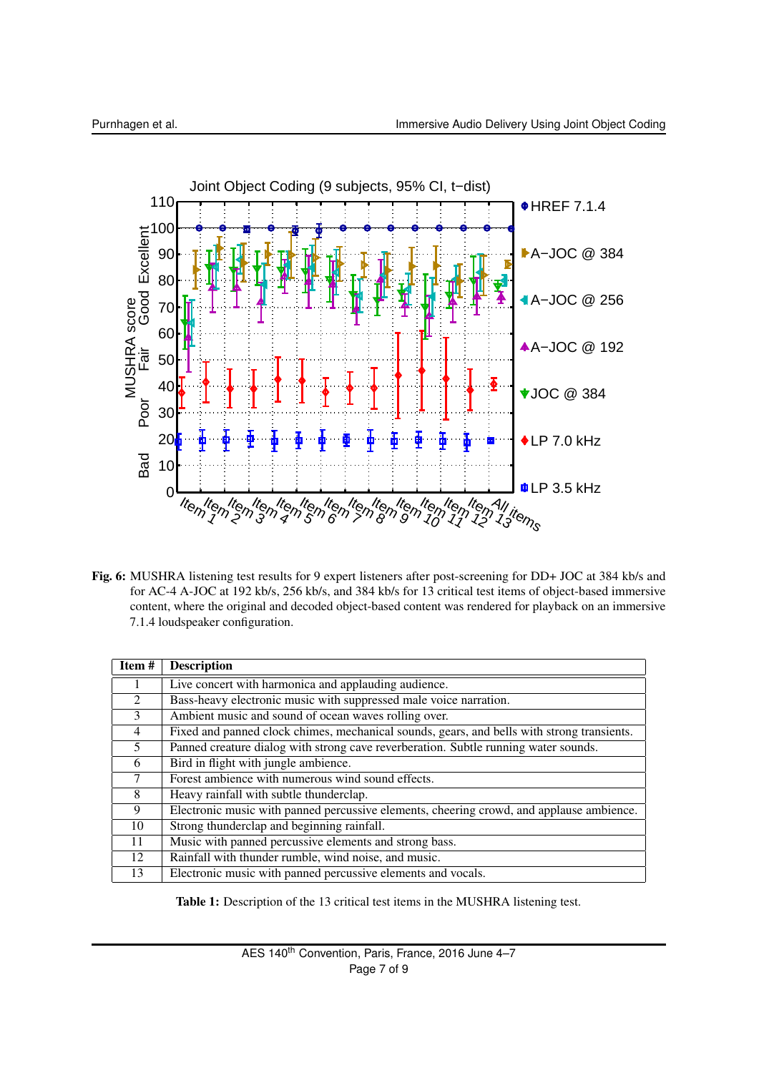

Fig. 6: MUSHRA listening test results for 9 expert listeners after post-screening for DD+ JOC at 384 kb/s and for AC-4 A-JOC at 192 kb/s, 256 kb/s, and 384 kb/s for 13 critical test items of object-based immersive content, where the original and decoded object-based content was rendered for playback on an immersive 7.1.4 loudspeaker configuration.

| Item#          | <b>Description</b>                                                                         |
|----------------|--------------------------------------------------------------------------------------------|
|                | Live concert with harmonica and applauding audience.                                       |
| $2^{\circ}$    | Bass-heavy electronic music with suppressed male voice narration.                          |
| 3              | Ambient music and sound of ocean waves rolling over.                                       |
| $\overline{4}$ | Fixed and panned clock chimes, mechanical sounds, gears, and bells with strong transients. |
| $\mathfrak{H}$ | Panned creature dialog with strong cave reverberation. Subtle running water sounds.        |
| 6              | Bird in flight with jungle ambience.                                                       |
| 7              | Forest ambience with numerous wind sound effects.                                          |
| 8              | Heavy rainfall with subtle thunderclap.                                                    |
| 9              | Electronic music with panned percussive elements, cheering crowd, and applause ambience.   |
| 10             | Strong thunderclap and beginning rainfall.                                                 |
| 11             | Music with panned percussive elements and strong bass.                                     |
| 12             | Rainfall with thunder rumble, wind noise, and music.                                       |
| 13             | Electronic music with panned percussive elements and vocals.                               |

Table 1: Description of the 13 critical test items in the MUSHRA listening test.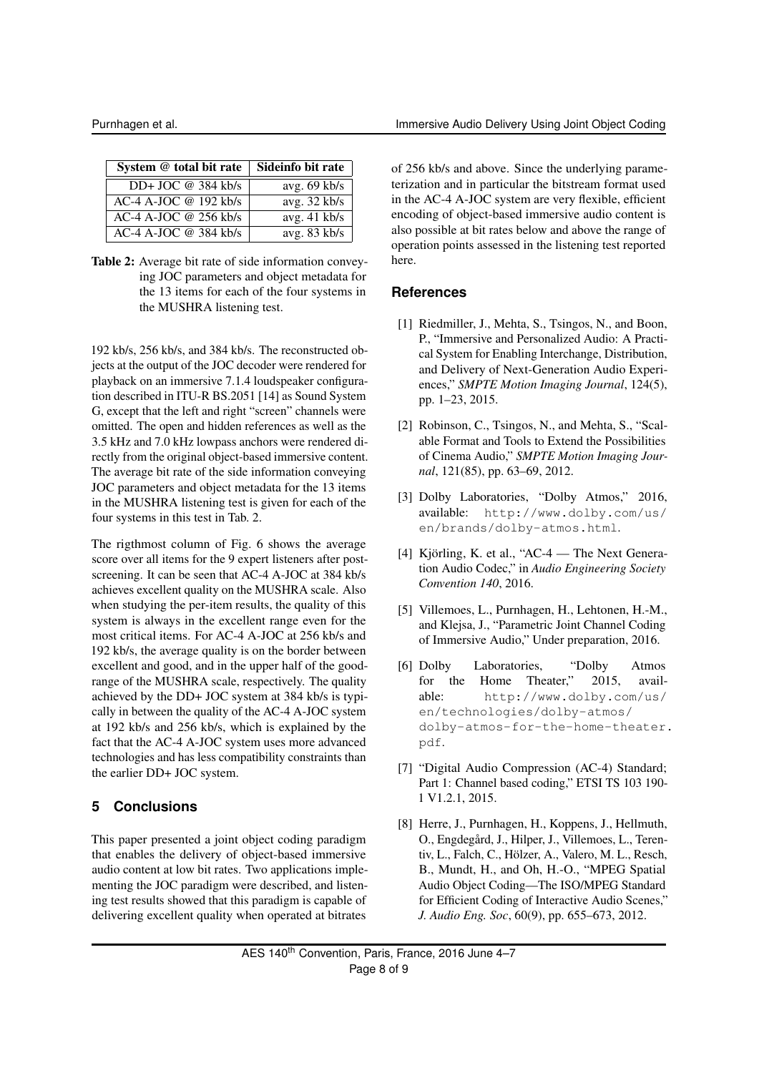| System @ total bit rate | Sideinfo bit rate |
|-------------------------|-------------------|
| DD+ JOC $@$ 384 kb/s    | avg. $69$ kb/s    |
| $AC-4$ A-JOC @ 192 kb/s | avg. 32 kb/s      |
| $AC-4$ A-JOC @ 256 kb/s | avg. 41 kb/s      |
| $AC-4$ A-JOC @ 384 kb/s | avg. $83$ kb/s    |

Table 2: Average bit rate of side information conveying JOC parameters and object metadata for the 13 items for each of the four systems in the MUSHRA listening test.

192 kb/s, 256 kb/s, and 384 kb/s. The reconstructed objects at the output of the JOC decoder were rendered for playback on an immersive 7.1.4 loudspeaker configuration described in ITU-R BS.2051 [14] as Sound System G, except that the left and right "screen" channels were omitted. The open and hidden references as well as the 3.5 kHz and 7.0 kHz lowpass anchors were rendered directly from the original object-based immersive content. The average bit rate of the side information conveying JOC parameters and object metadata for the 13 items in the MUSHRA listening test is given for each of the four systems in this test in Tab. 2.

The rigthmost column of Fig. 6 shows the average score over all items for the 9 expert listeners after postscreening. It can be seen that AC-4 A-JOC at 384 kb/s achieves excellent quality on the MUSHRA scale. Also when studying the per-item results, the quality of this system is always in the excellent range even for the most critical items. For AC-4 A-JOC at 256 kb/s and 192 kb/s, the average quality is on the border between excellent and good, and in the upper half of the goodrange of the MUSHRA scale, respectively. The quality achieved by the DD+ JOC system at 384 kb/s is typically in between the quality of the AC-4 A-JOC system at 192 kb/s and 256 kb/s, which is explained by the fact that the AC-4 A-JOC system uses more advanced technologies and has less compatibility constraints than the earlier DD+ JOC system.

# **5 Conclusions**

This paper presented a joint object coding paradigm that enables the delivery of object-based immersive audio content at low bit rates. Two applications implementing the JOC paradigm were described, and listening test results showed that this paradigm is capable of delivering excellent quality when operated at bitrates

of 256 kb/s and above. Since the underlying parameterization and in particular the bitstream format used in the AC-4 A-JOC system are very flexible, efficient encoding of object-based immersive audio content is also possible at bit rates below and above the range of operation points assessed in the listening test reported here.

# **References**

- [1] Riedmiller, J., Mehta, S., Tsingos, N., and Boon, P., "Immersive and Personalized Audio: A Practical System for Enabling Interchange, Distribution, and Delivery of Next-Generation Audio Experiences," *SMPTE Motion Imaging Journal*, 124(5), pp. 1–23, 2015.
- [2] Robinson, C., Tsingos, N., and Mehta, S., "Scalable Format and Tools to Extend the Possibilities of Cinema Audio," *SMPTE Motion Imaging Journal*, 121(85), pp. 63–69, 2012.
- [3] Dolby Laboratories, "Dolby Atmos," 2016, available: http://www.dolby.com/us/ en/brands/dolby-atmos.html.
- [4] Kjörling, K. et al., "AC-4 The Next Generation Audio Codec," in *Audio Engineering Society Convention 140*, 2016.
- [5] Villemoes, L., Purnhagen, H., Lehtonen, H.-M., and Klejsa, J., "Parametric Joint Channel Coding of Immersive Audio," Under preparation, 2016.
- [6] Dolby Laboratories, "Dolby Atmos for the Home Theater," 2015, available: http://www.dolby.com/us/ en/technologies/dolby-atmos/ dolby-atmos-for-the-home-theater. pdf.
- [7] "Digital Audio Compression (AC-4) Standard; Part 1: Channel based coding," ETSI TS 103 190- 1 V1.2.1, 2015.
- [8] Herre, J., Purnhagen, H., Koppens, J., Hellmuth, O., Engdegård, J., Hilper, J., Villemoes, L., Terentiv, L., Falch, C., Hölzer, A., Valero, M. L., Resch, B., Mundt, H., and Oh, H.-O., "MPEG Spatial Audio Object Coding—The ISO/MPEG Standard for Efficient Coding of Interactive Audio Scenes," *J. Audio Eng. Soc*, 60(9), pp. 655–673, 2012.